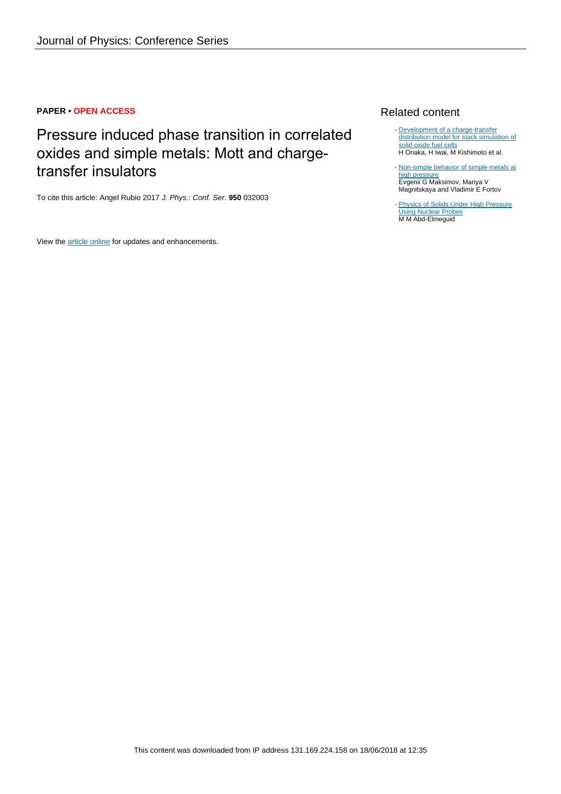### **PAPER • OPEN ACCESS**

# Pressure induced phase transition in correlated oxides and simple metals: Mott and chargetransfer insulators

To cite this article: Angel Rubio 2017 J. Phys.: Conf. Ser. **950** 032003

View the [article online](https://doi.org/10.1088/1742-6596/950/3/032003) for updates and enhancements.

## Related content

- [Development of a charge-transfer](http://iopscience.iop.org/article/10.1088/1742-6596/745/3/032148) [distribution model for stack simulation of](http://iopscience.iop.org/article/10.1088/1742-6596/745/3/032148) [solid oxide fuel cells](http://iopscience.iop.org/article/10.1088/1742-6596/745/3/032148) H Onaka, H Iwai, M Kishimoto et al.
- [Non-simple behavior of simple metals at](http://iopscience.iop.org/article/10.1070/PU2005v048n08ABEH002315) [high pressure](http://iopscience.iop.org/article/10.1070/PU2005v048n08ABEH002315) Evgenii G Maksimov, Mariya V Magnitskaya and Vladimir E Fortov -
- [Physics of Solids Under High Pressure](http://iopscience.iop.org/article/10.1088/0953-8984/17/11/E01) **[Using Nuclear Probes](http://iopscience.iop.org/article/10.1088/0953-8984/17/11/E01)** M M Abd-Elmeguid